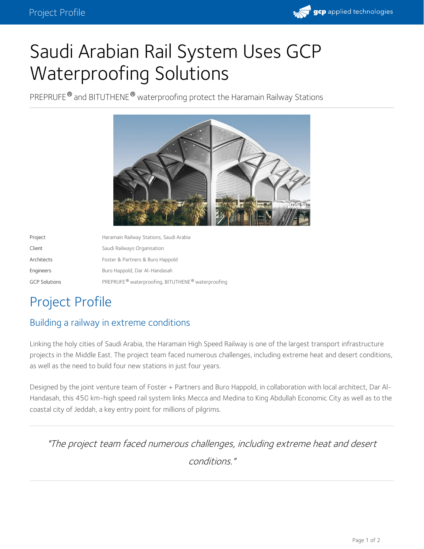

# Saudi Arabian Rail System Uses GCP Waterproofing Solutions

PREPRUFE® and BITUTHENE® waterproofing protect the Haramain Railway Stations



| Project              | Haramain Railway Stations, Saudi Arabia           |
|----------------------|---------------------------------------------------|
| Client               | Saudi Railways Organisation                       |
| Architects           | Foster & Partners & Buro Happold                  |
| Engineers            | Buro Happold, Dar Al-Handasah                     |
| <b>GCP Solutions</b> | PREPRUFE® waterproofing, BITUTHENE® waterproofing |

## Project Profile

### Building a railway in extreme conditions

Linking the holy cities of Saudi Arabia, the Haramain High Speed Railway is one of the largest transport infrastructure projects in the Middle East. The project team faced numerous challenges, including extreme heat and desert conditions, as well as the need to build four new stations in just four years.

Designed by the joint venture team of Foster + Partners and Buro Happold, in collaboration with local architect, Dar Al- Handasah, this 450 km-high speed rail system links Mecca and Medina to King Abdullah Economic City as well as to the coastal city of Jeddah, a key entry point for millions of pilgrims.

"The project team faced numerous challenges, including extreme heat and desert conditions."